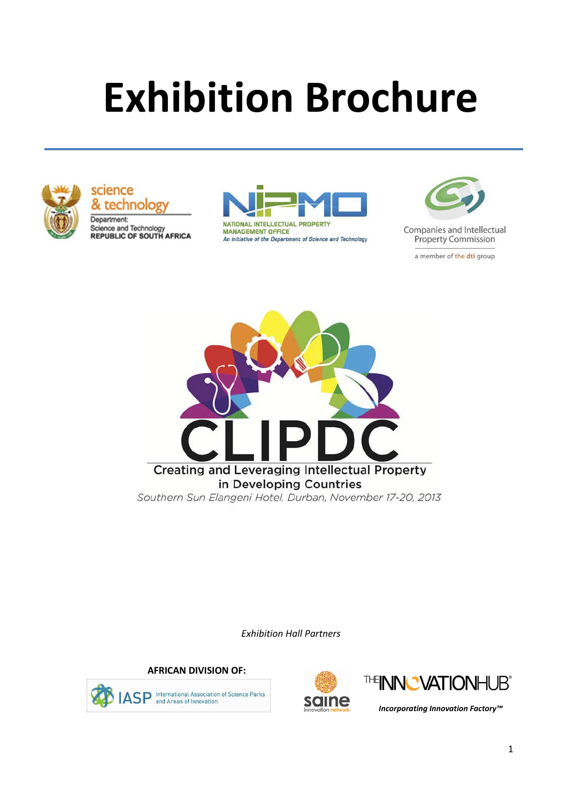# **Exhibition Brochure**



science technolog Department:

Science and Technology<br>REPUBLIC OF SOUTH AFRICA



MANAGEMENT OFFICE An initiative of the Department of Science and Technology



Companies and Intellectual **Property Commission** 

a member of the dti group



*Exhibition Hall Partners*

**AFRICAN DIVISION OF:**







*Incorporating Innovation Factory™*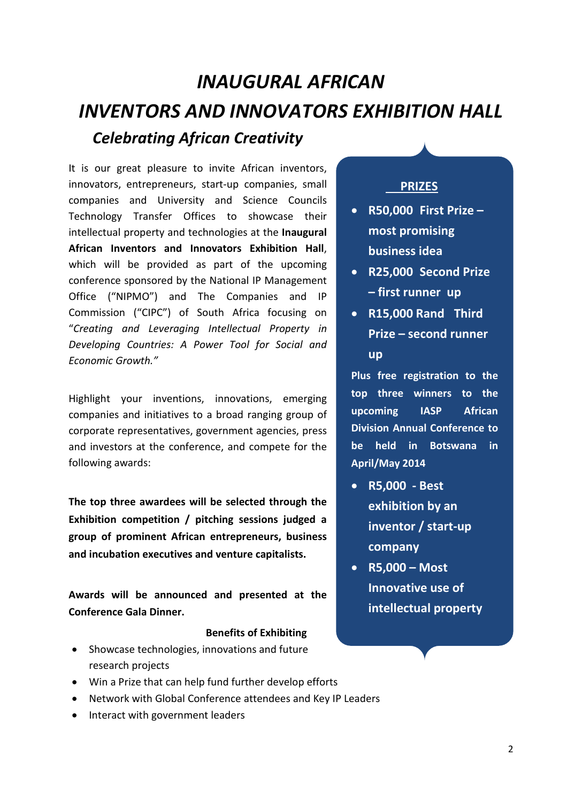# *INAUGURAL AFRICAN INVENTORS AND INNOVATORS EXHIBITION HALL Celebrating African Creativity*

It is our great pleasure to invite African inventors, innovators, entrepreneurs, start-up companies, small companies and University and Science Councils Technology Transfer Offices to showcase their intellectual property and technologies at the **Inaugural African Inventors and Innovators Exhibition Hall**, which will be provided as part of the upcoming conference sponsored by the National IP Management Office ("NIPMO") and The Companies and IP Commission ("CIPC") of South Africa focusing on "*Creating and Leveraging Intellectual Property in Developing Countries: A Power Tool for Social and Economic Growth."*

Highlight your inventions, innovations, emerging companies and initiatives to a broad ranging group of corporate representatives, government agencies, press and investors at the conference, and compete for the following awards:

**The top three awardees will be selected through the Exhibition competition / pitching sessions judged a group of prominent African entrepreneurs, business and incubation executives and venture capitalists.**

**Awards will be announced and presented at the Conference Gala Dinner.**

#### **Benefits of Exhibiting**

- Showcase technologies, innovations and future research projects
- Win a Prize that can help fund further develop efforts
- Network with Global Conference attendees and Key IP Leaders
- Interact with government leaders

## **PRIZES**

- **R50,000 First Prize – most promising business idea**
- **R25,000 Second Prize – first runner up**
- **R15,000 Rand Third Prize – second runner up**

**Plus free registration to the top three winners to the upcoming IASP African Division Annual Conference to be held in Botswana in April/May 2014**

- **R5,000 Best exhibition by an inventor / start-up company**
- **R5,000 Most Innovative use of intellectual property**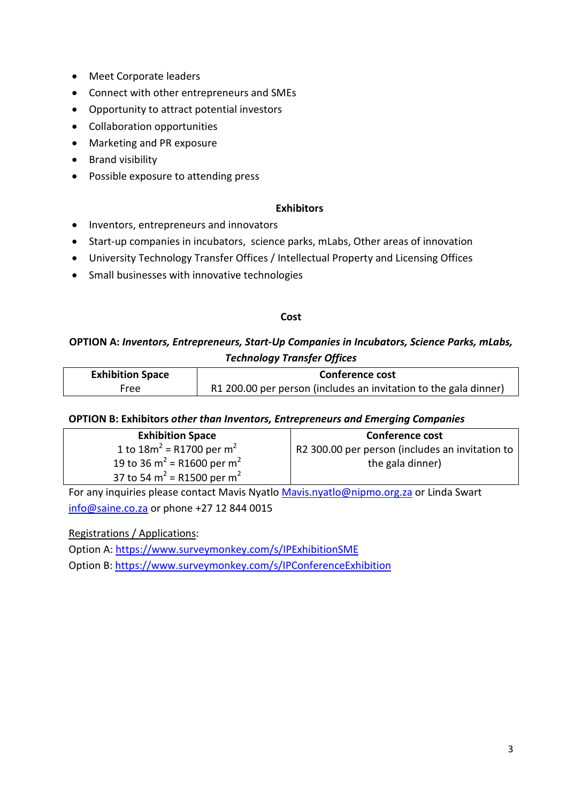- Meet Corporate leaders
- Connect with other entrepreneurs and SMEs
- Opportunity to attract potential investors
- Collaboration opportunities
- Marketing and PR exposure
- Brand visibility
- Possible exposure to attending press

#### **Exhibitors**

- Inventors, entrepreneurs and innovators
- Start-up companies in incubators, science parks, mLabs, Other areas of innovation
- University Technology Transfer Offices / Intellectual Property and Licensing Offices
- Small businesses with innovative technologies

#### **Cost**

## **OPTION A:** *Inventors, Entrepreneurs, Start-Up Companies in Incubators, Science Parks, mLabs, Technology Transfer Offices*

| <b>Exhibition Space</b> | <b>Conference cost</b>                                           |
|-------------------------|------------------------------------------------------------------|
| Free                    | R1 200.00 per person (includes an invitation to the gala dinner) |

#### **OPTION B: Exhibitors** *other than Inventors, Entrepreneurs and Emerging Companies*

| <b>Exhibition Space</b>                            | <b>Conference cost</b>                          |
|----------------------------------------------------|-------------------------------------------------|
| 1 to $18m^2$ = R1700 per m <sup>2</sup>            | R2 300.00 per person (includes an invitation to |
| 19 to 36 m <sup>2</sup> = R1600 per m <sup>2</sup> | the gala dinner)                                |
| 37 to 54 m <sup>2</sup> = R1500 per m <sup>2</sup> |                                                 |

For any inquiries please contact Mavis Nyatlo Mavis.nyatlo@nipmo.org.za or Linda Swart info@saine.co.za or phone +27 12 844 0015

Registrations / Applications:

Option A: https://www.surveymonkey.com/s/IPExhibitionSME

Option B: https://www.surveymonkey.com/s/IPConferenceExhibition